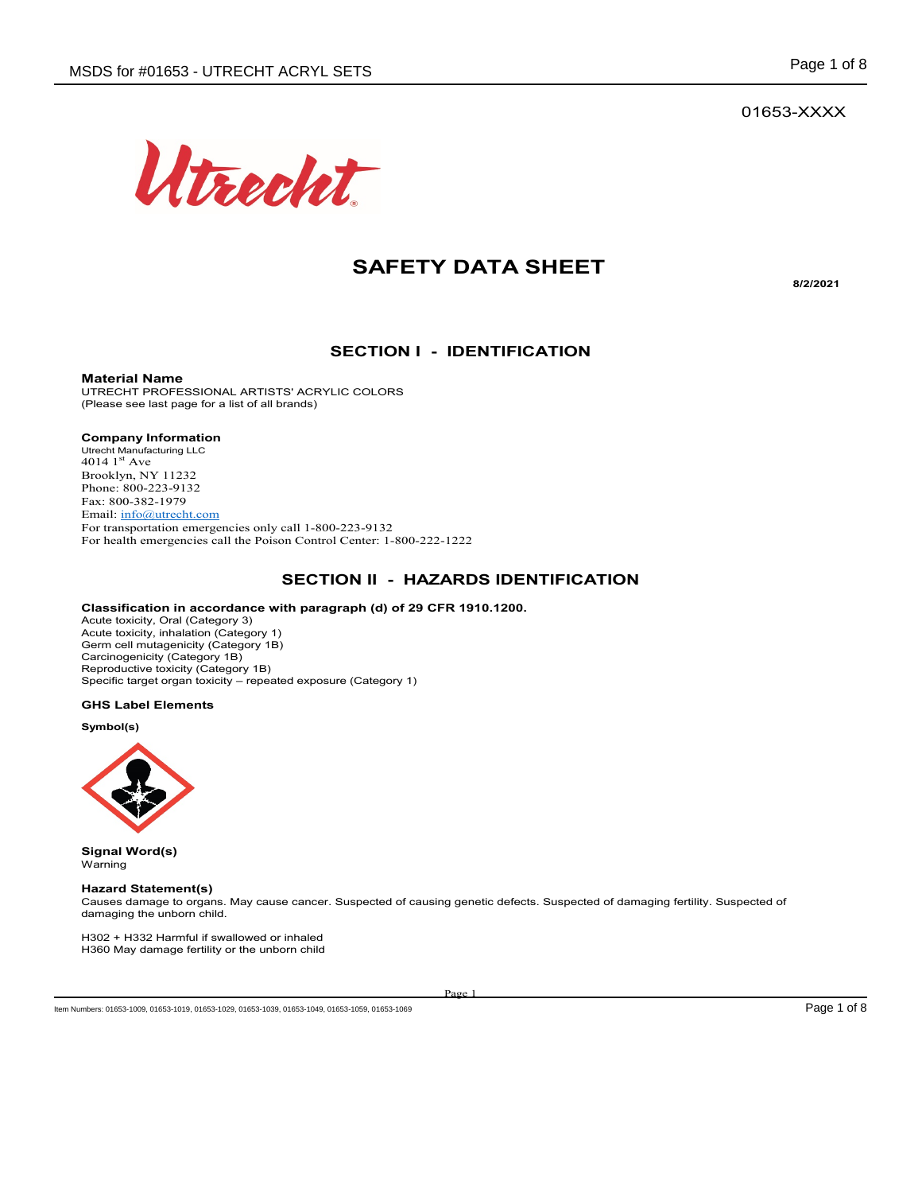01653-XXXX



# **SAFETY DATA SHEET**

**8/2/2021**

#### **SECTION I - IDENTIFICATION**

**Material Name**

UTRECHT PROFESSIONAL ARTISTS' ACRYLIC COLORS (Please see last page for a list of all brands)

#### **Company Information**

Utrecht Manufacturing LLC 4014  $1<sup>st</sup>$  Ave Brooklyn, NY 11232 Phone: 800-223-9132 Fax: 800-382-1979 Email: info@utrecht.com For transportation emergencies only call 1-800-223-9132 For health emergencies call the Poison Control Center: 1-800-222-1222

#### **SECTION II - HAZARDS IDENTIFICATION**

#### **Classification in accordance with paragraph (d) of 29 CFR 1910.1200.**

Acute toxicity, Oral (Category 3) Acute toxicity, inhalation (Category 1) Germ cell mutagenicity (Category 1B) Carcinogenicity (Category 1B) Reproductive toxicity (Category 1B) Specific target organ toxicity – repeated exposure (Category 1)

#### **GHS Label Elements**

**Symbol(s)**



**Signal Word(s)** Warning

#### **Hazard Statement(s)**

Causes damage to organs. May cause cancer. Suspected of causing genetic defects. Suspected of damaging fertility. Suspected of damaging the unborn child.

H302 + H332 Harmful if swallowed or inhaled H360 May damage fertility or the unborn child

Page 1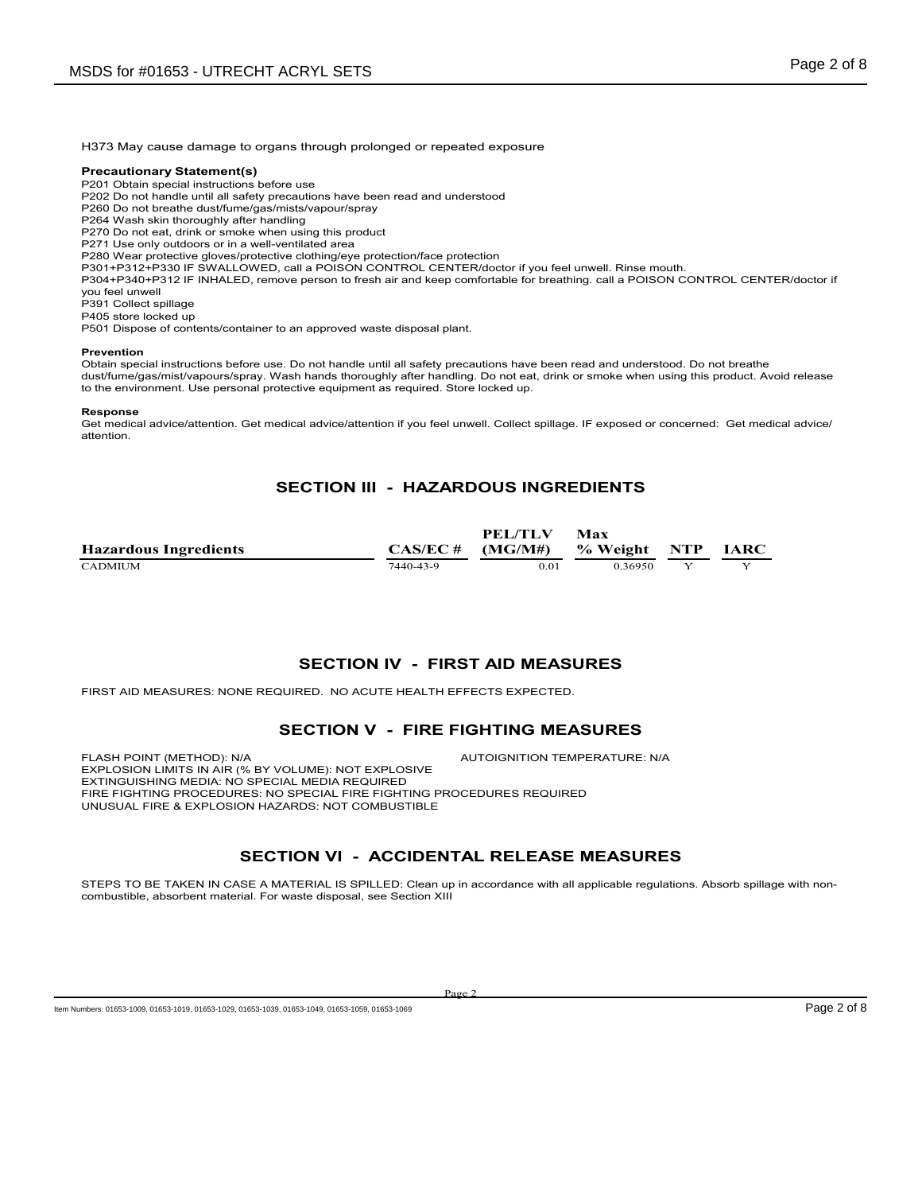H373 May cause damage to organs through prolonged or repeated exposure

#### **Precautionary Statement(s)**

P201 Obtain special instructions before use

P202 Do not handle until all safety precautions have been read and understood

P260 Do not breathe dust/fume/gas/mists/vapour/spray

P264 Wash skin thoroughly after handling

P270 Do not eat, drink or smoke when using this product

P271 Use only outdoors or in a well-ventilated area

P280 Wear protective gloves/protective clothing/eye protection/face protection

P301+P312+P330 IF SWALLOWED, call a POISON CONTROL CENTER/doctor if you feel unwell. Rinse mouth.

P304+P340+P312 IF INHALED, remove person to fresh air and keep comfortable for breathing. call a POISON CONTROL CENTER/doctor if you feel unwell

P391 Collect spillage

P405 store locked up

P501 Dispose of contents/container to an approved waste disposal plant.

#### **Prevention**

Obtain special instructions before use. Do not handle until all safety precautions have been read and understood. Do not breathe dust/fume/gas/mist/vapours/spray. Wash hands thoroughly after handling. Do not eat, drink or smoke when using this product. Avoid release to the environment. Use personal protective equipment as required. Store locked up.

#### **Response**

Get medical advice/attention. Get medical advice/attention if you feel unwell. Collect spillage. IF exposed or concerned: Get medical advice/ attention.

#### **SECTION III - HAZARDOUS INGREDIENTS**

|                              |             | <b>PEL/TLV</b> | Max          |             |
|------------------------------|-------------|----------------|--------------|-------------|
| <b>Hazardous Ingredients</b> | $CAS/EC \#$ | (MG/M#)        | % Weight NTP | <b>IARC</b> |
| <b>CADMIUM</b>               | 7440-43-9   | 0.01           | 036950       |             |

#### **SECTION IV - FIRST AID MEASURES**

FIRST AID MEASURES: NONE REQUIRED. NO ACUTE HEALTH EFFECTS EXPECTED.

#### **SECTION V - FIRE FIGHTING MEASURES**

FLASH POINT (METHOD): N/A  $\overline{A}$  autoignition temperature: N/A EXPLOSION LIMITS IN AIR (% BY VOLUME): NOT EXPLOSIVE EXTINGUISHING MEDIA: NO SPECIAL MEDIA REQUIRED FIRE FIGHTING PROCEDURES: NO SPECIAL FIRE FIGHTING PROCEDURES REQUIRED UNUSUAL FIRE & EXPLOSION HAZARDS: NOT COMBUSTIBLE

#### **SECTION VI - ACCIDENTAL RELEASE MEASURES**

STEPS TO BE TAKEN IN CASE A MATERIAL IS SPILLED: Clean up in accordance with all applicable regulations. Absorb spillage with noncombustible, absorbent material. For waste disposal, see Section XIII

Item Numbers: 01653-1009, 01653-1019, 01653-1029, 01653-1039, 01653-1049, 01653-1059, 01653-1059, 01653-1059, 01653-1059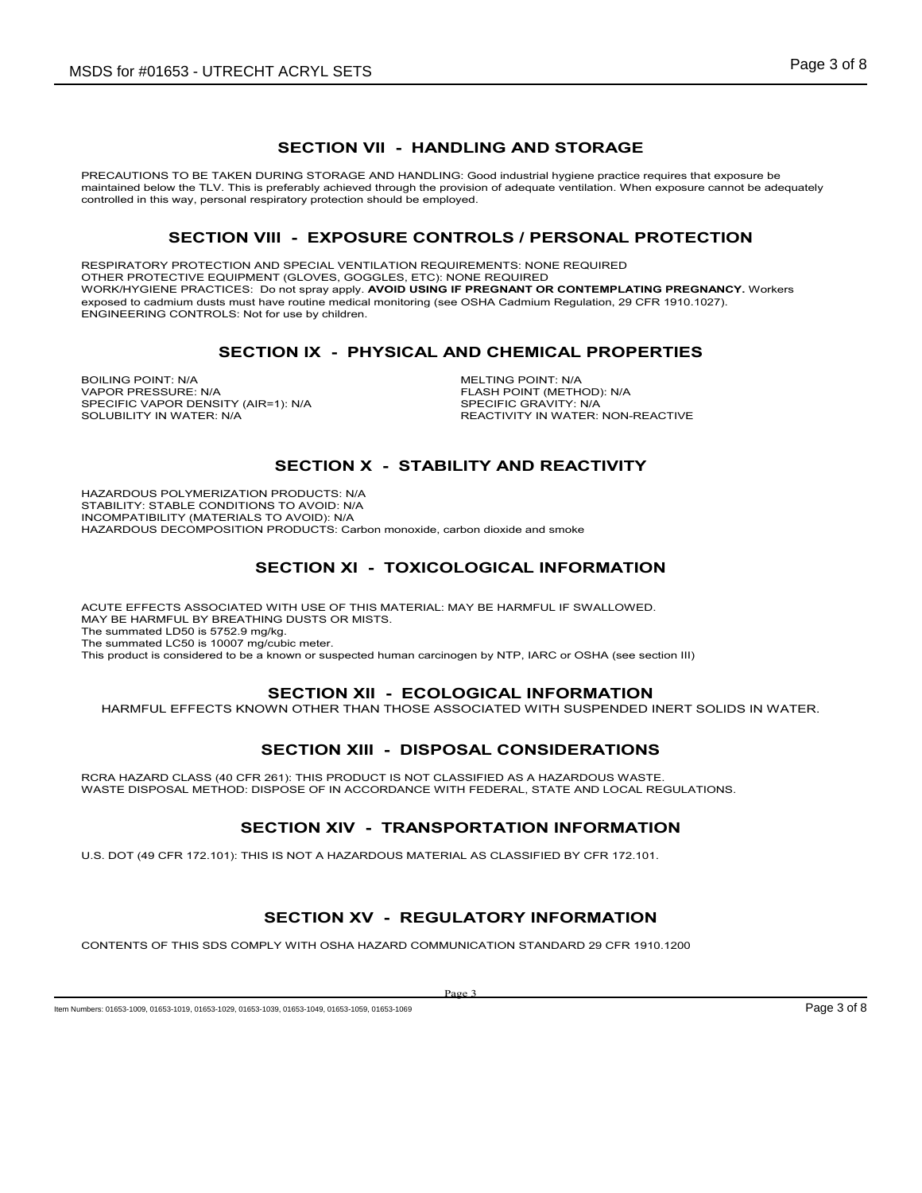### **SECTION VII - HANDLING AND STORAGE**

PRECAUTIONS TO BE TAKEN DURING STORAGE AND HANDLING: Good industrial hygiene practice requires that exposure be maintained below the TLV. This is preferably achieved through the provision of adequate ventilation. When exposure cannot be adequately controlled in this way, personal respiratory protection should be employed.

#### **SECTION VIII - EXPOSURE CONTROLS / PERSONAL PROTECTION**

RESPIRATORY PROTECTION AND SPECIAL VENTILATION REQUIREMENTS: NONE REQUIRED OTHER PROTECTIVE EQUIPMENT (GLOVES, GOGGLES, ETC): NONE REQUIRED WORK/HYGIENE PRACTICES: Do not spray apply. **AVOID USING IF PREGNANT OR CONTEMPLATING PREGNANCY.** Workers exposed to cadmium dusts must have routine medical monitoring (see OSHA Cadmium Regulation, 29 CFR 1910.1027). ENGINEERING CONTROLS: Not for use by children.

#### **SECTION IX - PHYSICAL AND CHEMICAL PROPERTIES**

BOILING POINT: N/A<br>
VAPOR PRESSURE N/A<br>
VAPOR PRESSURE N/A SPECIFIC VAPOR DENSITY (AIR=1): N/A<br>SOLUBILITY IN WATER: N/A

FLASH POINT (METHOD): N/A<br>SPECIFIC GRAVITY: N/A REACTIVITY IN WATER: NON-REACTIVE

### **SECTION X - STABILITY AND REACTIVITY**

HAZARDOUS POLYMERIZATION PRODUCTS: N/A STABILITY: STABLE CONDITIONS TO AVOID: N/A INCOMPATIBILITY (MATERIALS TO AVOID): N/A HAZARDOUS DECOMPOSITION PRODUCTS: Carbon monoxide, carbon dioxide and smoke

# **SECTION XI - TOXICOLOGICAL INFORMATION**

ACUTE EFFECTS ASSOCIATED WITH USE OF THIS MATERIAL: MAY BE HARMFUL IF SWALLOWED. MAY BE HARMFUL BY BREATHING DUSTS OR MISTS. The summated LD50 is 5752.9 mg/kg. The summated LC50 is 10007 mg/cubic meter. This product is considered to be a known or suspected human carcinogen by NTP, IARC or OSHA (see section III)

#### **SECTION XII - ECOLOGICAL INFORMATION**

HARMFUL EFFECTS KNOWN OTHER THAN THOSE ASSOCIATED WITH SUSPENDED INERT SOLIDS IN WATER.

# **SECTION XIII - DISPOSAL CONSIDERATIONS**

RCRA HAZARD CLASS (40 CFR 261): THIS PRODUCT IS NOT CLASSIFIED AS A HAZARDOUS WASTE. WASTE DISPOSAL METHOD: DISPOSE OF IN ACCORDANCE WITH FEDERAL, STATE AND LOCAL REGULATIONS.

# **SECTION XIV - TRANSPORTATION INFORMATION**

U.S. DOT (49 CFR 172.101): THIS IS NOT A HAZARDOUS MATERIAL AS CLASSIFIED BY CFR 172.101.

# **SECTION XV - REGULATORY INFORMATION**

CONTENTS OF THIS SDS COMPLY WITH OSHA HAZARD COMMUNICATION STANDARD 29 CFR 1910.1200

Page 3

Item Numbers: 01653-1009, 01653-1019, 01653-1029, 01653-1039, 01653-1049, 01653-1059, 01653-1059, 01653-1059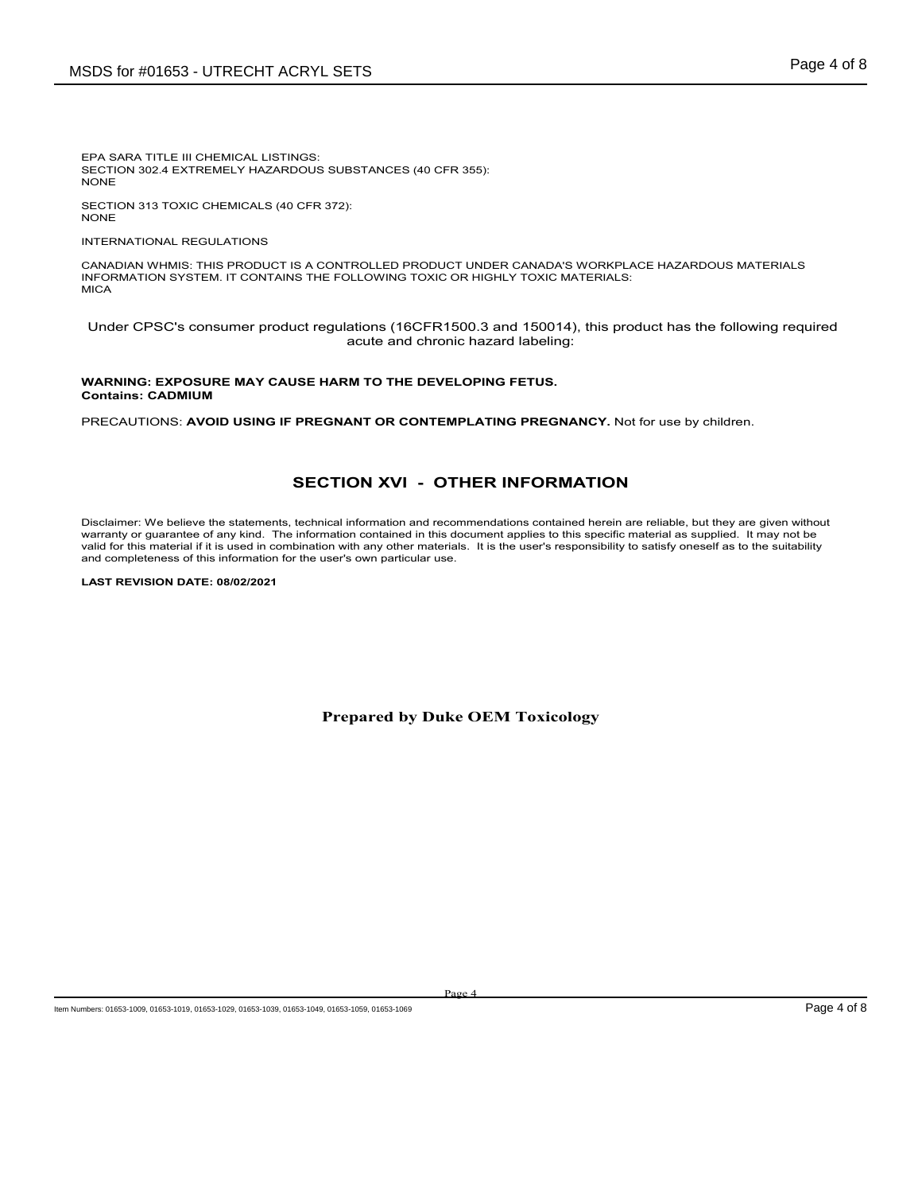EPA SARA TITLE III CHEMICAL LISTINGS: SECTION 302.4 EXTREMELY HAZARDOUS SUBSTANCES (40 CFR 355): NONE

SECTION 313 TOXIC CHEMICALS (40 CFR 372): NONE

INTERNATIONAL REGULATIONS

CANADIAN WHMIS: THIS PRODUCT IS A CONTROLLED PRODUCT UNDER CANADA'S WORKPLACE HAZARDOUS MATERIALS INFORMATION SYSTEM. IT CONTAINS THE FOLLOWING TOXIC OR HIGHLY TOXIC MATERIALS: **MICA** 

Under CPSC's consumer product regulations (16CFR1500.3 and 150014), this product has the following required acute and chronic hazard labeling:

#### **WARNING: EXPOSURE MAY CAUSE HARM TO THE DEVELOPING FETUS. Contains: CADMIUM**

PRECAUTIONS: **AVOID USING IF PREGNANT OR CONTEMPLATING PREGNANCY.** Not for use by children.

## **SECTION XVI - OTHER INFORMATION**

Disclaimer: We believe the statements, technical information and recommendations contained herein are reliable, but they are given without warranty or guarantee of any kind. The information contained in this document applies to this specific material as supplied. It may not be valid for this material if it is used in combination with any other materials. It is the user's responsibility to satisfy oneself as to the suitability and completeness of this information for the user's own particular use.

**LAST REVISION DATE: 08/02/2021**

**Prepared by Duke OEM Toxicology**

Page 4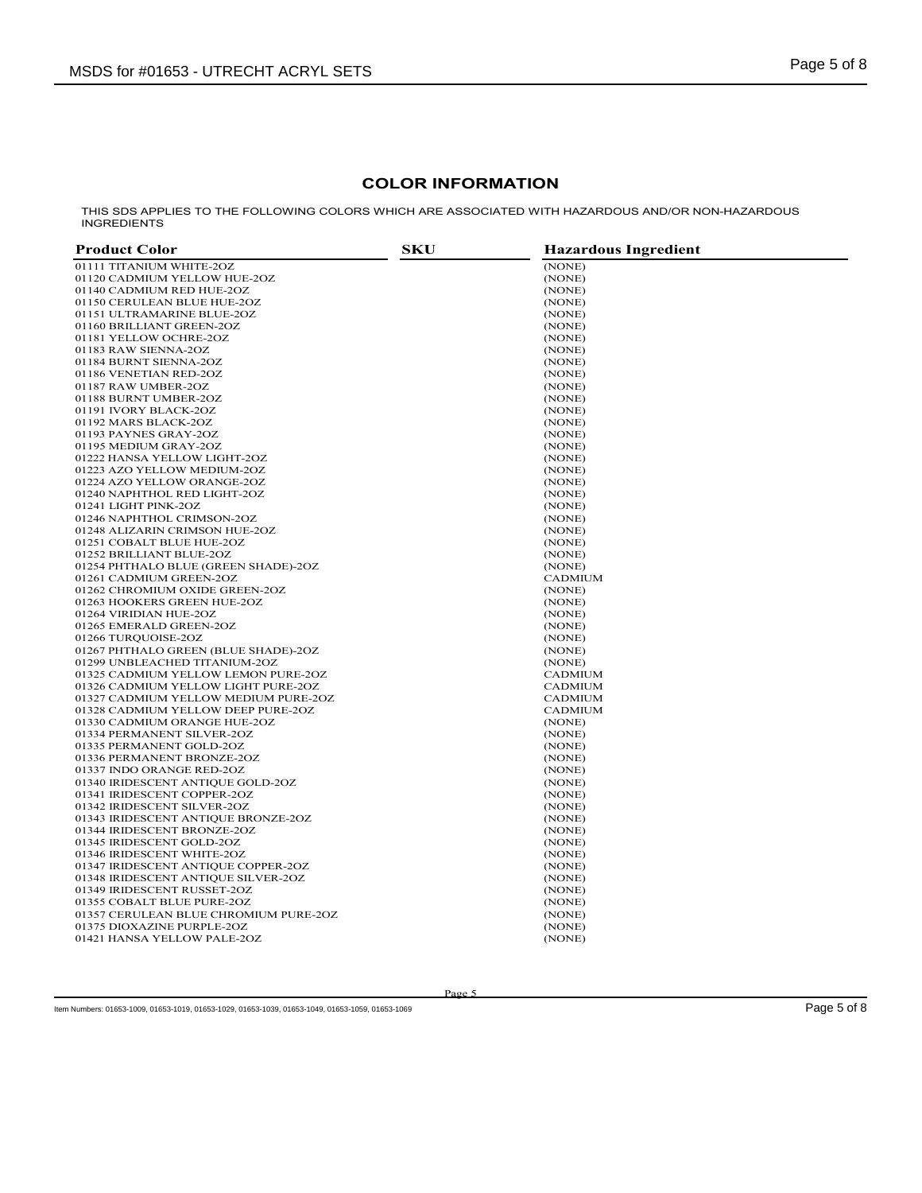## **COLOR INFORMATION**

THIS SDS APPLIES TO THE FOLLOWING COLORS WHICH ARE ASSOCIATED WITH HAZARDOUS AND/OR NON-HAZARDOUS INGREDIENTS

| <b>Product Color</b>                  | SKU | <b>Hazardous Ingredient</b> |
|---------------------------------------|-----|-----------------------------|
| 01111 TITANIUM WHITE-2OZ              |     | (NONE)                      |
| 01120 CADMIUM YELLOW HUE-2OZ          |     | (NONE)                      |
| 01140 CADMIUM RED HUE-2OZ             |     | (NONE)                      |
| 01150 CERULEAN BLUE HUE-2OZ           |     | (NONE)                      |
| 01151 ULTRAMARINE BLUE-2OZ            |     | (NONE)                      |
| 01160 BRILLIANT GREEN-2OZ             |     | (NONE)                      |
| 01181 YELLOW OCHRE-2OZ                |     | (NONE)                      |
| 01183 RAW SIENNA-2OZ                  |     | (NONE)                      |
| 01184 BURNT SIENNA-2OZ                |     | (NONE)                      |
| 01186 VENETIAN RED-2OZ                |     | (NONE)                      |
| 01187 RAW UMBER-2OZ                   |     | (NONE)                      |
| 01188 BURNT UMBER-2OZ                 |     | (NONE)                      |
| 01191 IVORY BLACK-2OZ                 |     | (NONE)                      |
| 01192 MARS BLACK-2OZ                  |     | (NONE)                      |
| 01193 PAYNES GRAY-2OZ                 |     | (NONE)                      |
| 01195 MEDIUM GRAY-2OZ                 |     | (NONE)                      |
| 01222 HANSA YELLOW LIGHT-2OZ          |     | (NONE)                      |
| 01223 AZO YELLOW MEDIUM-2OZ           |     | (NONE)                      |
| 01224 AZO YELLOW ORANGE-2OZ           |     | (NONE)                      |
| 01240 NAPHTHOL RED LIGHT-2OZ          |     | (NONE)                      |
| 01241 LIGHT PINK-2OZ                  |     | (NONE)                      |
| 01246 NAPHTHOL CRIMSON-2OZ            |     | (NONE)                      |
| 01248 ALIZARIN CRIMSON HUE-2OZ        |     | (NONE)                      |
| 01251 COBALT BLUE HUE-2OZ             |     | (NONE)                      |
| 01252 BRILLIANT BLUE-2OZ              |     | (NONE)                      |
| 01254 PHTHALO BLUE (GREEN SHADE)-2OZ  |     | (NONE)                      |
| 01261 CADMIUM GREEN-2OZ               |     | <b>CADMIUM</b>              |
| 01262 CHROMIUM OXIDE GREEN-2OZ        |     | (NONE)                      |
| 01263 HOOKERS GREEN HUE-2OZ           |     | (NONE)                      |
| 01264 VIRIDIAN HUE-2OZ                |     | (NONE)                      |
| 01265 EMERALD GREEN-2OZ               |     | (NONE)                      |
| 01266 TURQUOISE-2OZ                   |     | (NONE)                      |
| 01267 PHTHALO GREEN (BLUE SHADE)-2OZ  |     | (NONE)                      |
| 01299 UNBLEACHED TITANIUM-2OZ         |     | (NONE)                      |
| 01325 CADMIUM YELLOW LEMON PURE-2OZ   |     | <b>CADMIUM</b>              |
| 01326 CADMIUM YELLOW LIGHT PURE-2OZ   |     | <b>CADMIUM</b>              |
| 01327 CADMIUM YELLOW MEDIUM PURE-2OZ  |     | <b>CADMIUM</b>              |
| 01328 CADMIUM YELLOW DEEP PURE-2OZ    |     | <b>CADMIUM</b>              |
| 01330 CADMIUM ORANGE HUE-2OZ          |     | (NONE)                      |
| 01334 PERMANENT SILVER-2OZ            |     | (NONE)                      |
| 01335 PERMANENT GOLD-2OZ              |     | (NONE)                      |
| 01336 PERMANENT BRONZE-2OZ            |     | (NONE)                      |
| 01337 INDO ORANGE RED-2OZ             |     | (NONE)                      |
| 01340 IRIDESCENT ANTIQUE GOLD-2OZ     |     | (NONE)                      |
| 01341 IRIDESCENT COPPER-2OZ           |     | (NONE)                      |
| 01342 IRIDESCENT SILVER-2OZ           |     | (NONE)                      |
| 01343 IRIDESCENT ANTIQUE BRONZE-2OZ   |     | (NONE)                      |
| 01344 IRIDESCENT BRONZE-2OZ           |     | (NONE)                      |
| 01345 IRIDESCENT GOLD-2OZ             |     | (NONE)                      |
| 01346 IRIDESCENT WHITE-2OZ            |     | (NONE)                      |
| 01347 IRIDESCENT ANTIQUE COPPER-2OZ   |     | (NONE)                      |
| 01348 IRIDESCENT ANTIQUE SILVER-2OZ   |     |                             |
| 01349 IRIDESCENT RUSSET-2OZ           |     | (NONE)                      |
|                                       |     | (NONE)                      |
| 01355 COBALT BLUE PURE-2OZ            |     | (NONE)                      |
| 01357 CERULEAN BLUE CHROMIUM PURE-2OZ |     | (NONE)                      |
| 01375 DIOXAZINE PURPLE-2OZ            |     | (NONE)                      |
| 01421 HANSA YELLOW PALE-2OZ           |     | (NONE)                      |

Item Numbers: 01653-1009, 01653-1019, 01653-1029, 01653-1039, 01653-1049, 01653-1059, 01653-1069 Page 5 of 8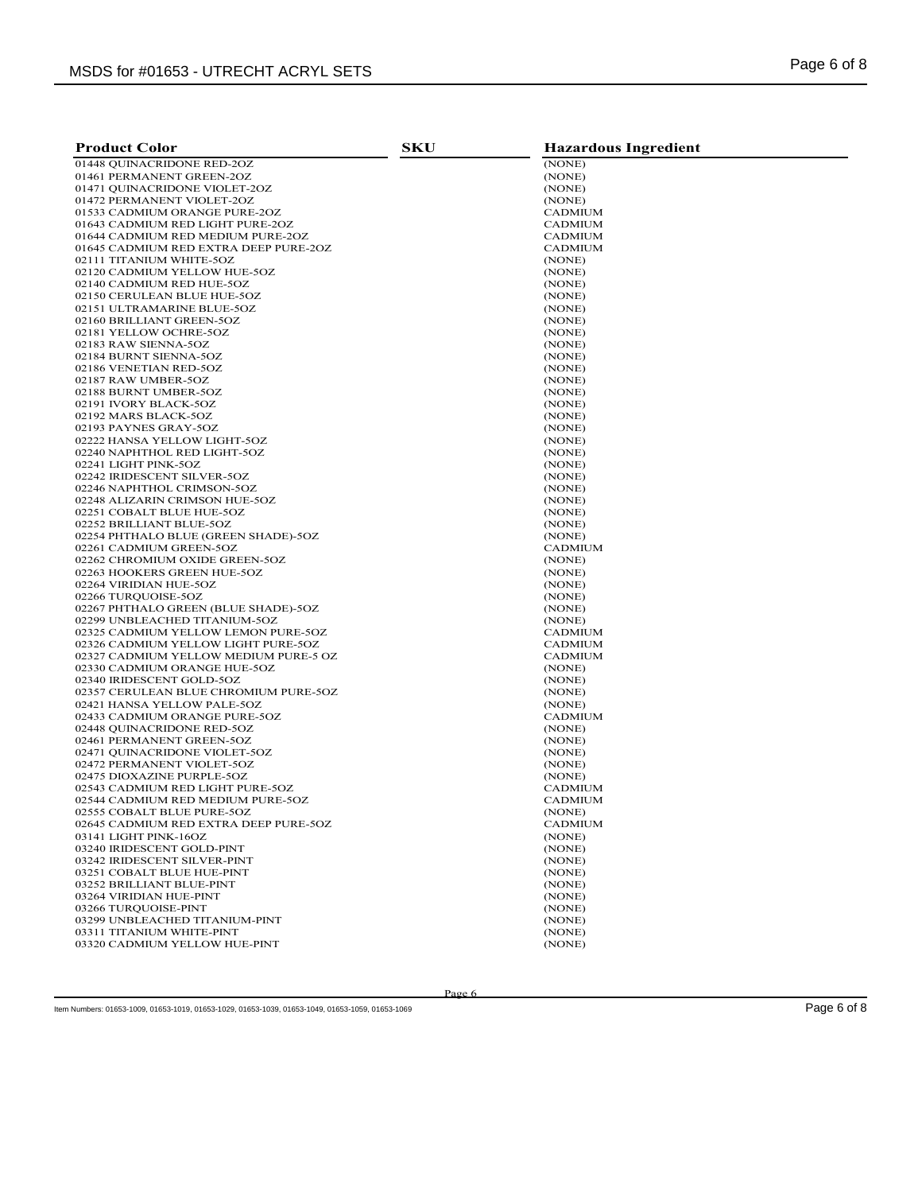| <b>Product Color</b>                                                 | <b>SKU</b> | <b>Hazardous Ingredient</b> |
|----------------------------------------------------------------------|------------|-----------------------------|
| 01448 OUINACRIDONE RED-2OZ                                           |            | (NONE)                      |
| 01461 PERMANENT GREEN-2OZ                                            |            | (NONE)                      |
| 01471 QUINACRIDONE VIOLET-2OZ                                        |            | (NONE)                      |
| 01472 PERMANENT VIOLET-2OZ                                           |            | (NONE)                      |
| 01533 CADMIUM ORANGE PURE-2OZ                                        |            | <b>CADMIUM</b>              |
| 01643 CADMIUM RED LIGHT PURE-2OZ                                     |            | <b>CADMIUM</b>              |
| 01644 CADMIUM RED MEDIUM PURE-2OZ                                    |            | <b>CADMIUM</b>              |
| 01645 CADMIUM RED EXTRA DEEP PURE-2OZ                                |            | <b>CADMIUM</b>              |
| 02111 TITANIUM WHITE-5OZ                                             |            | (NONE)                      |
| 02120 CADMIUM YELLOW HUE-5OZ                                         |            | (NONE)                      |
| 02140 CADMIUM RED HUE-5OZ                                            |            | (NONE)                      |
| 02150 CERULEAN BLUE HUE-5OZ                                          |            | (NONE)                      |
| 02151 ULTRAMARINE BLUE-5OZ<br>02160 BRILLIANT GREEN-5OZ              |            | (NONE)<br>(NONE)            |
| 02181 YELLOW OCHRE-5OZ                                               |            | (NONE)                      |
| 02183 RAW SIENNA-5OZ                                                 |            | (NONE)                      |
| 02184 BURNT SIENNA-5OZ                                               |            | (NONE)                      |
| 02186 VENETIAN RED-5OZ                                               |            | (NONE)                      |
| 02187 RAW UMBER-5OZ                                                  |            | (NONE)                      |
| 02188 BURNT UMBER-5OZ                                                |            | (NONE)                      |
| 02191 IVORY BLACK-5OZ                                                |            | (NONE)                      |
| 02192 MARS BLACK-5OZ                                                 |            | (NONE)                      |
| 02193 PAYNES GRAY-5OZ                                                |            | (NONE)                      |
| 02222 HANSA YELLOW LIGHT-5OZ                                         |            | (NONE)                      |
| 02240 NAPHTHOL RED LIGHT-5OZ                                         |            | (NONE)                      |
| 02241 LIGHT PINK-5OZ                                                 |            | (NONE)                      |
| 02242 IRIDESCENT SILVER-5OZ                                          |            | (NONE)                      |
| 02246 NAPHTHOL CRIMSON-5OZ                                           |            | (NONE)                      |
| 02248 ALIZARIN CRIMSON HUE-5OZ                                       |            | (NONE)                      |
| 02251 COBALT BLUE HUE-5OZ                                            |            | (NONE)                      |
| 02252 BRILLIANT BLUE-5OZ                                             |            | (NONE)                      |
| 02254 PHTHALO BLUE (GREEN SHADE)-5OZ<br>02261 CADMIUM GREEN-5OZ      |            | (NONE)<br><b>CADMIUM</b>    |
| 02262 CHROMIUM OXIDE GREEN-5OZ                                       |            | (NONE)                      |
| 02263 HOOKERS GREEN HUE-5OZ                                          |            | (NONE)                      |
| 02264 VIRIDIAN HUE-5OZ                                               |            | (NONE)                      |
| 02266 TURQUOISE-5OZ                                                  |            | (NONE)                      |
| 02267 PHTHALO GREEN (BLUE SHADE)-5OZ                                 |            | (NONE)                      |
| 02299 UNBLEACHED TITANIUM-5OZ                                        |            | (NONE)                      |
| 02325 CADMIUM YELLOW LEMON PURE-5OZ                                  |            | <b>CADMIUM</b>              |
| 02326 CADMIUM YELLOW LIGHT PURE-5OZ                                  |            | <b>CADMIUM</b>              |
| 02327 CADMIUM YELLOW MEDIUM PURE-5 OZ                                |            | <b>CADMIUM</b>              |
| 02330 CADMIUM ORANGE HUE-5OZ                                         |            | (NONE)                      |
| 02340 IRIDESCENT GOLD-5OZ                                            |            | (NONE)                      |
| 02357 CERULEAN BLUE CHROMIUM PURE-5OZ<br>02421 HANSA YELLOW PALE-5OZ |            | (NONE)<br>(NONE)            |
| 02433 CADMIUM ORANGE PURE-5OZ                                        |            | <b>CADMIUM</b>              |
| 02448 OUINACRIDONE RED-5OZ                                           |            | (NONE)                      |
| 02461 PERMANENT GREEN-5OZ                                            |            | (NONE)                      |
| 02471 QUINACRIDONE VIOLET-5OZ                                        |            | (NONE)                      |
| 02472 PERMANENT VIOLET-5OZ                                           |            | (NONE)                      |
| 02475 DIOXAZINE PURPLE-5OZ                                           |            | (NONE)                      |
| 02543 CADMIUM RED LIGHT PURE-5OZ                                     |            | <b>CADMIUM</b>              |
| 02544 CADMIUM RED MEDIUM PURE-5OZ                                    |            | <b>CADMIUM</b>              |
| 02555 COBALT BLUE PURE-5OZ                                           |            | (NONE)                      |
| 02645 CADMIUM RED EXTRA DEEP PURE-5OZ                                |            | <b>CADMIUM</b>              |
| 03141 LIGHT PINK-16OZ                                                |            | (NONE)                      |
| 03240 IRIDESCENT GOLD-PINT                                           |            | (NONE)                      |
| 03242 IRIDESCENT SILVER-PINT                                         |            | (NONE)                      |
| 03251 COBALT BLUE HUE-PINT                                           |            | (NONE)                      |
| 03252 BRILLIANT BLUE-PINT<br>03264 VIRIDIAN HUE-PINT                 |            | (NONE)<br>(NONE)            |
| 03266 TURQUOISE-PINT                                                 |            | (NONE)                      |
| 03299 UNBLEACHED TITANIUM-PINT                                       |            | (NONE)                      |
| 03311 TITANIUM WHITE-PINT                                            |            | (NONE)                      |
| 03320 CADMIUM YELLOW HUE-PINT                                        |            | (NONE)                      |
|                                                                      |            |                             |

Page 6

Item Numbers: 01653-1009, 01653-1019, 01653-1029, 01653-1039, 01653-1049, 01653-1059, 01653-1069 Page 6 of 8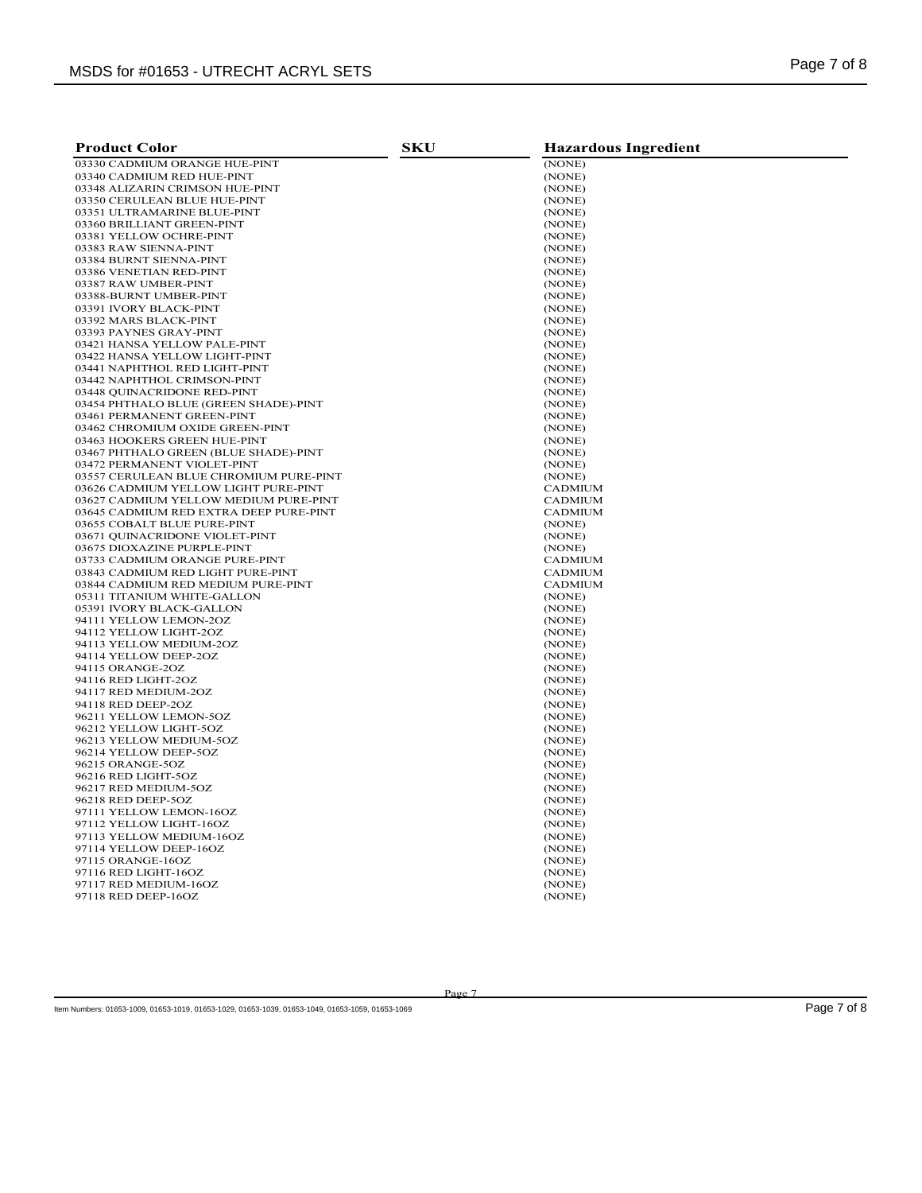| <b>Product Color</b>                   | <b>SKU</b> | <b>Hazardous Ingredient</b> |
|----------------------------------------|------------|-----------------------------|
| 03330 CADMIUM ORANGE HUE-PINT          |            | (NONE)                      |
| 03340 CADMIUM RED HUE-PINT             |            | (NONE)                      |
| 03348 ALIZARIN CRIMSON HUE-PINT        |            | (NONE)                      |
| 03350 CERULEAN BLUE HUE-PINT           |            | (NONE)                      |
| 03351 ULTRAMARINE BLUE-PINT            |            | (NONE)                      |
| 03360 BRILLIANT GREEN-PINT             |            | (NONE)                      |
| 03381 YELLOW OCHRE-PINT                |            | (NONE)                      |
| 03383 RAW SIENNA-PINT                  |            | (NONE)                      |
| 03384 BURNT SIENNA-PINT                |            | (NONE)                      |
| 03386 VENETIAN RED-PINT                |            | (NONE)                      |
| 03387 RAW UMBER-PINT                   |            | (NONE)                      |
| 03388-BURNT UMBER-PINT                 |            | (NONE)                      |
| 03391 IVORY BLACK-PINT                 |            | (NONE)                      |
| 03392 MARS BLACK-PINT                  |            | (NONE)                      |
| 03393 PAYNES GRAY-PINT                 |            | (NONE)                      |
| 03421 HANSA YELLOW PALE-PINT           |            | (NONE)                      |
| 03422 HANSA YELLOW LIGHT-PINT          |            | (NONE)                      |
| 03441 NAPHTHOL RED LIGHT-PINT          |            | (NONE)                      |
| 03442 NAPHTHOL CRIMSON-PINT            |            | (NONE)                      |
| 03448 OUINACRIDONE RED-PINT            |            | (NONE)                      |
| 03454 PHTHALO BLUE (GREEN SHADE)-PINT  |            | (NONE)                      |
| 03461 PERMANENT GREEN-PINT             |            | (NONE)                      |
| 03462 CHROMIUM OXIDE GREEN-PINT        |            | (NONE)                      |
| 03463 HOOKERS GREEN HUE-PINT           |            | (NONE)                      |
| 03467 PHTHALO GREEN (BLUE SHADE)-PINT  |            | (NONE)                      |
| 03472 PERMANENT VIOLET-PINT            |            | (NONE)                      |
| 03557 CERULEAN BLUE CHROMIUM PURE-PINT |            | (NONE)                      |
| 03626 CADMIUM YELLOW LIGHT PURE-PINT   |            | CADMIUM                     |
| 03627 CADMIUM YELLOW MEDIUM PURE-PINT  |            | <b>CADMIUM</b>              |
| 03645 CADMIUM RED EXTRA DEEP PURE-PINT |            | CADMIUM                     |
| 03655 COBALT BLUE PURE-PINT            |            | (NONE)                      |
| 03671 QUINACRIDONE VIOLET-PINT         |            | (NONE)                      |
| 03675 DIOXAZINE PURPLE-PINT            |            | (NONE)                      |
| 03733 CADMIUM ORANGE PURE-PINT         |            | <b>CADMIUM</b>              |
| 03843 CADMIUM RED LIGHT PURE-PINT      |            | <b>CADMIUM</b>              |
| 03844 CADMIUM RED MEDIUM PURE-PINT     |            | <b>CADMIUM</b>              |
| 05311 TITANIUM WHITE-GALLON            |            | (NONE)                      |
| 05391 IVORY BLACK-GALLON               |            | (NONE)                      |
| 94111 YELLOW LEMON-2OZ                 |            | (NONE)                      |
| 94112 YELLOW LIGHT-2OZ                 |            | (NONE)                      |
| 94113 YELLOW MEDIUM-2OZ                |            | (NONE)                      |
| 94114 YELLOW DEEP-2OZ                  |            | (NONE)                      |
| 94115 ORANGE-2OZ                       |            | (NONE)                      |
| 94116 RED LIGHT-2OZ                    |            | (NONE)                      |
| 94117 RED MEDIUM-2OZ                   |            | (NONE)                      |
| 94118 RED DEEP-2OZ                     |            | (NONE)                      |
| 96211 YELLOW LEMON-5OZ                 |            | (NONE)                      |
| 96212 YELLOW LIGHT-5OZ                 |            | (NONE)                      |
| 96213 YELLOW MEDIUM-5OZ                |            | (NONE)                      |
| 96214 YELLOW DEEP-5OZ                  |            | (NONE)                      |
| 96215 ORANGE-5OZ                       |            | (NONE)                      |
| 96216 RED LIGHT-5OZ                    |            | (NONE)                      |
| 96217 RED MEDIUM-5OZ                   |            | (NONE)                      |
| 96218 RED DEEP-5OZ                     |            | (NONE)                      |
| 97111 YELLOW LEMON-16OZ                |            | (NONE)                      |
| 97112 YELLOW LIGHT-16OZ                |            | (NONE)                      |
| 97113 YELLOW MEDIUM-16OZ               |            | (NONE)                      |
| 97114 YELLOW DEEP-16OZ                 |            | (NONE)                      |
| 97115 ORANGE-16OZ                      |            | (NONE)                      |
| 97116 RED LIGHT-16OZ                   |            | (NONE)                      |
| 97117 RED MEDIUM-16OZ                  |            | (NONE)                      |
| 97118 RED DEEP-16OZ                    |            | (NONE)                      |

Page 7